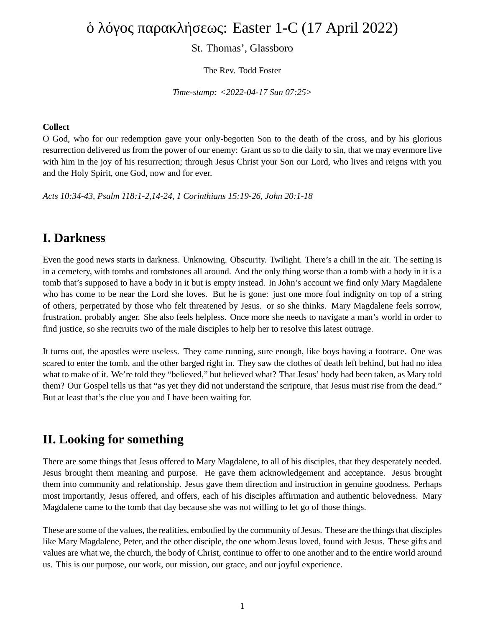# ὁ λόγος παρακλήσεως: Easter 1-C (17 April 2022)

### St. Thomas', Glassboro

The Rev. Todd Foster

*Time-stamp: <2022-04-17 Sun 07:25>*

#### **Collect**

O God, who for our redemption gave your only-begotten Son to the death of the cross, and by his glorious resurrection delivered us from the power of our enemy: Grant us so to die daily to sin, that we may evermore live with him in the joy of his resurrection; through Jesus Christ your Son our Lord, who lives and reigns with you and the Holy Spirit, one God, now and for ever.

*Acts 10:34-43, Psalm 118:1-2,14-24, 1 Corinthians 15:19-26, John 20:1-18*

### **I. Darkness**

Even the good news starts in darkness. Unknowing. Obscurity. Twilight. There's a chill in the air. The setting is in a cemetery, with tombs and tombstones all around. And the only thing worse than a tomb with a body in it is a tomb that's supposed to have a body in it but is empty instead. In John's account we find only Mary Magdalene who has come to be near the Lord she loves. But he is gone: just one more foul indignity on top of a string of others, perpetrated by those who felt threatened by Jesus. or so she thinks. Mary Magdalene feels sorrow, frustration, probably anger. She also feels helpless. Once more she needs to navigate a man's world in order to find justice, so she recruits two of the male disciples to help her to resolve this latest outrage.

It turns out, the apostles were useless. They came running, sure enough, like boys having a footrace. One was scared to enter the tomb, and the other barged right in. They saw the clothes of death left behind, but had no idea what to make of it. We're told they "believed," but believed what? That Jesus' body had been taken, as Mary told them? Our Gospel tells us that "as yet they did not understand the scripture, that Jesus must rise from the dead." But at least that's the clue you and I have been waiting for.

# **II. Looking for something**

There are some things that Jesus offered to Mary Magdalene, to all of his disciples, that they desperately needed. Jesus brought them meaning and purpose. He gave them acknowledgement and acceptance. Jesus brought them into community and relationship. Jesus gave them direction and instruction in genuine goodness. Perhaps most importantly, Jesus offered, and offers, each of his disciples affirmation and authentic belovedness. Mary Magdalene came to the tomb that day because she was not willing to let go of those things.

These are some of the values, the realities, embodied by the community of Jesus. These are the things that disciples like Mary Magdalene, Peter, and the other disciple, the one whom Jesus loved, found with Jesus. These gifts and values are what we, the church, the body of Christ, continue to offer to one another and to the entire world around us. This is our purpose, our work, our mission, our grace, and our joyful experience.